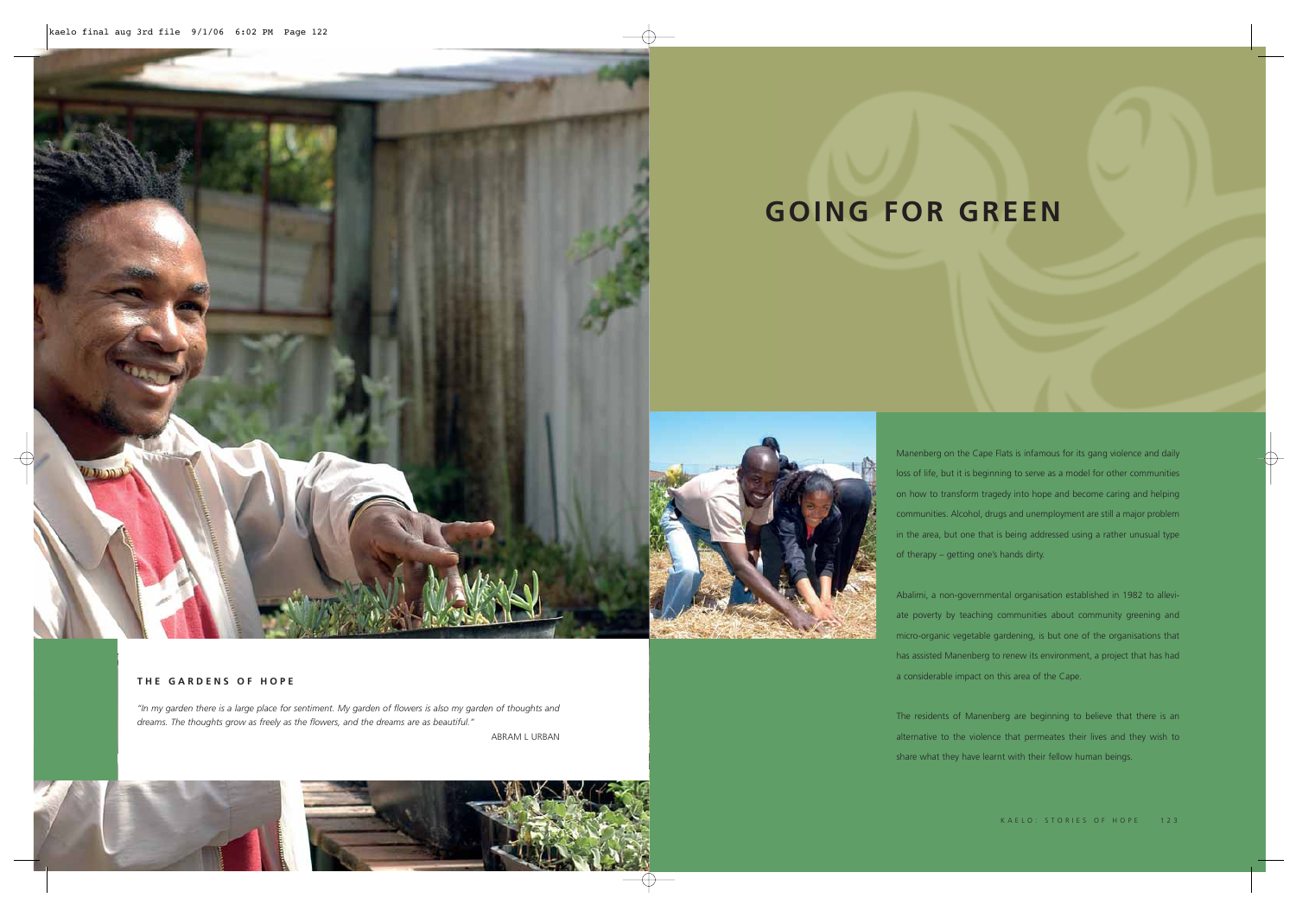Manenberg on the Cape Flats is infamous for its gang violence and daily loss of life, but it is beginning to serve as a model for other communities on how to transform tragedy into hope and become caring and helping communities. Alcohol, drugs and unemployment are still a major problem in the area, but one that is being addressed using a rather unusual type of therapy – getting one's hands dirty.

Abalimi, a non-governmental organisation established in 1982 to alleviate poverty by teaching communities about community greening and micro-organic vegetable gardening, is but one of the organisations that has assisted Manenberg to renew its environment, a project that has had a considerable impact on this area of the Cape.

The residents of Manenberg are beginning to believe that there is an alternative to the violence that permeates their lives and they wish to share what they have learnt with their fellow human beings.

# **GOING FOR GREEN**

# **THE GARDENS OF HOPE**

*"In my garden there is a large place for sentiment. My garden of flowers is also my garden of thoughts and dreams. The thoughts grow as freely as the flowers, and the dreams are as beautiful."* 

ABRAM L URBAN





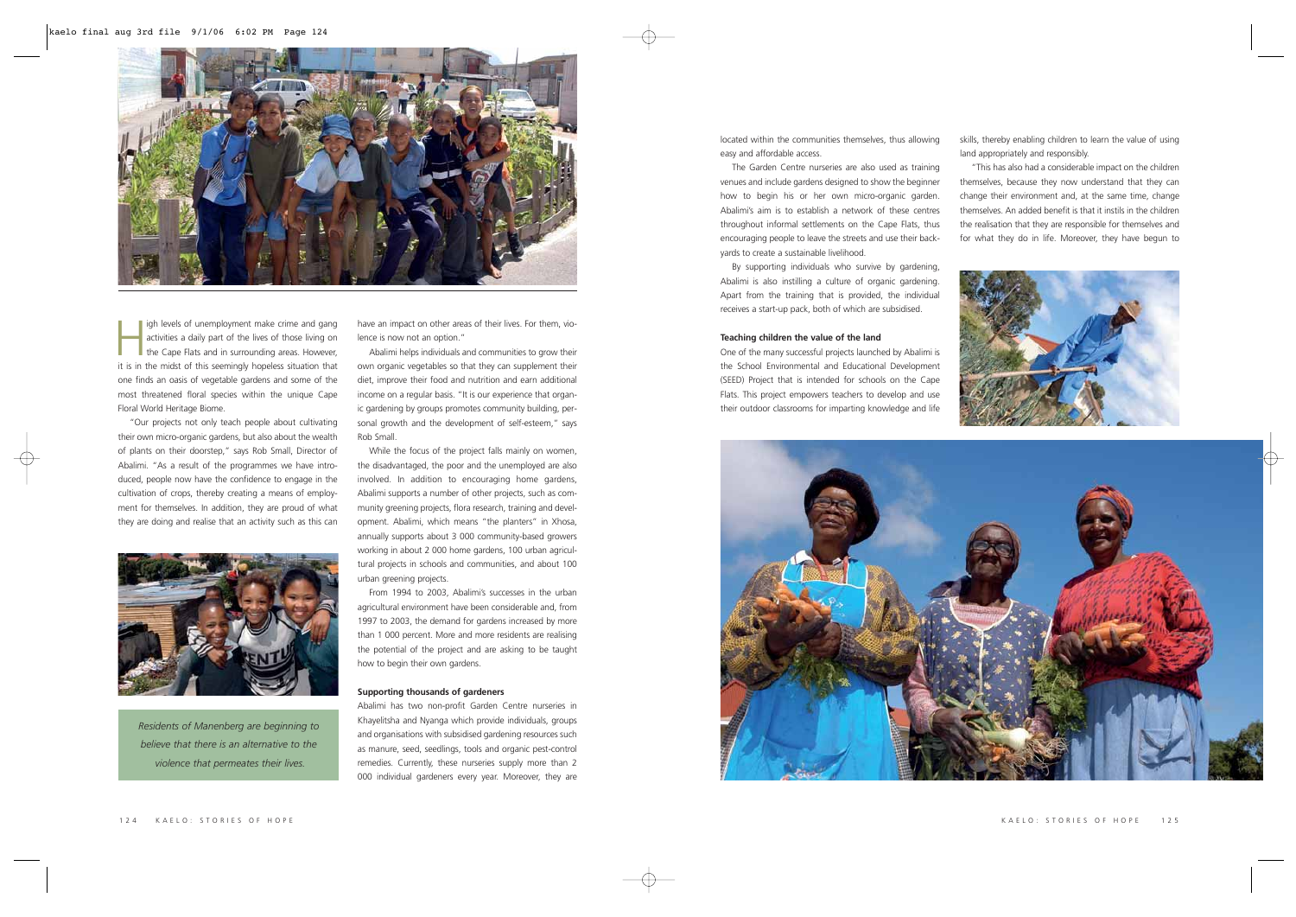located within the communities themselves, thus allowing easy and affordable access.

The Garden Centre nurseries are also used as training venues and include gardens designed to show the beginner how to begin his or her own micro-organic garden. Abalimi's aim is to establish a network of these centres throughout informal settlements on the Cape Flats, thus encouraging people to leave the streets and use their backyards to create a sustainable livelihood.

By supporting individuals who survive by gardening, Abalimi is also instilling a culture of organic gardening. Apart from the training that is provided, the individual receives a start-up pack, both of which are subsidised.

#### **Teaching children the value of the land**

One of the many successful projects launched by Abalimi is the School Environmental and Educational Development (SEED) Project that is intended for schools on the Cape Flats. This project empowers teachers to develop and use their outdoor classrooms for imparting knowledge and life



Igh levels of unemployment make crime and gang<br>activities a daily part of the lives of those living on<br>the Cape Flats and in surrounding areas. However, it is in the midst of this seemingly hopeless situation that one finds an oasis of vegetable gardens and some of the most threatened floral species within the unique Cape Floral World Heritage Biome.

skills, thereby enabling children to learn the value of using land appropriately and responsibly.

"This has also had a considerable impact on the children themselves, because they now understand that they can change their environment and, at the same time, change themselves. An added benefit is that it instils in the children the realisation that they are responsible for themselves and for what they do in life. Moreover, they have begun to



## KAELO: STORIES OF HOPE 125

"Our projects not only teach people about cultivating their own micro-organic gardens, but also about the wealth of plants on their doorstep," says Rob Small, Director of Abalimi. "As a result of the programmes we have introduced, people now have the confidence to engage in the cultivation of crops, thereby creating a means of employment for themselves. In addition, they are proud of what they are doing and realise that an activity such as this can



have an impact on other areas of their lives. For them, violence is now not an option."

Abalimi helps individuals and communities to grow their own organic vegetables so that they can supplement their diet, improve their food and nutrition and earn additional income on a regular basis. "It is our experience that organic gardening by groups promotes community building, personal growth and the development of self-esteem," says Rob Small.

While the focus of the project falls mainly on women, the disadvantaged, the poor and the unemployed are also involved. In addition to encouraging home gardens, Abalimi supports a number of other projects, such as community greening projects, flora research, training and development. Abalimi, which means "the planters" in Xhosa, annually supports about 3 000 community-based growers working in about 2 000 home gardens, 100 urban agricultural projects in schools and communities, and about 100 urban greening projects.

From 1994 to 2003, Abalimi's successes in the urban agricultural environment have been considerable and, from 1997 to 2003, the demand for gardens increased by more than 1 000 percent. More and more residents are realising the potential of the project and are asking to be taught how to begin their own gardens.

#### **Supporting thousands of gardeners**

Abalimi has two non-profit Garden Centre nurseries in Khayelitsha and Nyanga which provide individuals, groups and organisations with subsidised gardening resources such as manure, seed, seedlings, tools and organic pest-control remedies. Currently, these nurseries supply more than 2 000 individual gardeners every year. Moreover, they are

*Residents of Manenberg are beginning to believe that there is an alternative to the violence that permeates their lives.*